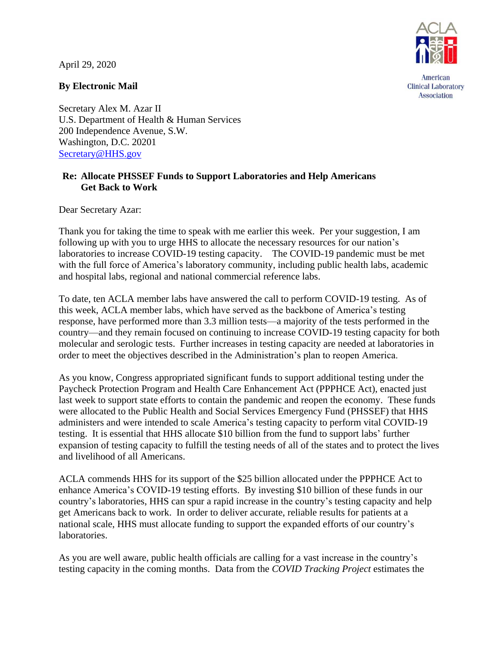April 29, 2020



American **Clinical Laboratory** Association

## **By Electronic Mail**

Secretary Alex M. Azar II U.S. Department of Health & Human Services 200 Independence Avenue, S.W. Washington, D.C. 20201 [Secretary@HHS.gov](mailto:Secretary@HHS.gov)

## **Re: Allocate PHSSEF Funds to Support Laboratories and Help Americans Get Back to Work**

Dear Secretary Azar:

Thank you for taking the time to speak with me earlier this week. Per your suggestion, I am following up with you to urge HHS to allocate the necessary resources for our nation's laboratories to increase COVID-19 testing capacity. The COVID-19 pandemic must be met with the full force of America's laboratory community, including public health labs, academic and hospital labs, regional and national commercial reference labs.

To date, ten ACLA member labs have answered the call to perform COVID-19 testing. As of this week, ACLA member labs, which have served as the backbone of America's testing response, have performed more than 3.3 million tests—a majority of the tests performed in the country—and they remain focused on continuing to increase COVID-19 testing capacity for both molecular and serologic tests. Further increases in testing capacity are needed at laboratories in order to meet the objectives described in the Administration's plan to reopen America.

As you know, Congress appropriated significant funds to support additional testing under the Paycheck Protection Program and Health Care Enhancement Act (PPPHCE Act), enacted just last week to support state efforts to contain the pandemic and reopen the economy. These funds were allocated to the Public Health and Social Services Emergency Fund (PHSSEF) that HHS administers and were intended to scale America's testing capacity to perform vital COVID-19 testing. It is essential that HHS allocate \$10 billion from the fund to support labs' further expansion of testing capacity to fulfill the testing needs of all of the states and to protect the lives and livelihood of all Americans.

ACLA commends HHS for its support of the \$25 billion allocated under the PPPHCE Act to enhance America's COVID-19 testing efforts. By investing \$10 billion of these funds in our country's laboratories, HHS can spur a rapid increase in the country's testing capacity and help get Americans back to work. In order to deliver accurate, reliable results for patients at a national scale, HHS must allocate funding to support the expanded efforts of our country's laboratories.

As you are well aware, public health officials are calling for a vast increase in the country's testing capacity in the coming months. Data from the *COVID Tracking Project* estimates the